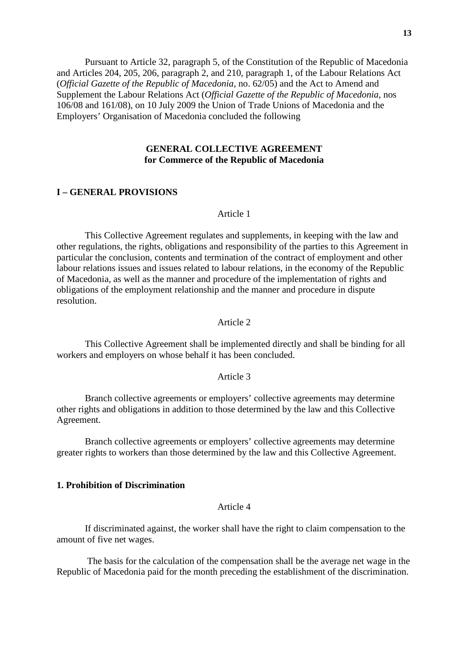Pursuant to Article 32, paragraph 5, of the Constitution of the Republic of Macedonia and Articles 204, 205, 206, paragraph 2, and 210, paragraph 1, of the Labour Relations Act (*Official Gazette of the Republic of Macedonia*, no. 62/05) and the Act to Amend and Supplement the Labour Relations Act (*Official Gazette of the Republic of Macedonia*, nos 106/08 and 161/08), on 10 July 2009 the Union of Trade Unions of Macedonia and the Employers' Organisation of Macedonia concluded the following

### **GENERAL COLLECTIVE AGREEMENT for Commerce of the Republic of Macedonia**

#### **I – GENERAL PROVISIONS**

## Article 1

This Collective Agreement regulates and supplements, in keeping with the law and other regulations, the rights, obligations and responsibility of the parties to this Agreement in particular the conclusion, contents and termination of the contract of employment and other labour relations issues and issues related to labour relations, in the economy of the Republic of Macedonia, as well as the manner and procedure of the implementation of rights and obligations of the employment relationship and the manner and procedure in dispute resolution.

## Article 2

This Collective Agreement shall be implemented directly and shall be binding for all workers and employers on whose behalf it has been concluded.

### Article 3

Branch collective agreements or employers' collective agreements may determine other rights and obligations in addition to those determined by the law and this Collective Agreement.

Branch collective agreements or employers' collective agreements may determine greater rights to workers than those determined by the law and this Collective Agreement.

### **1. Prohibition of Discrimination**

#### Article 4

If discriminated against, the worker shall have the right to claim compensation to the amount of five net wages.

 The basis for the calculation of the compensation shall be the average net wage in the Republic of Macedonia paid for the month preceding the establishment of the discrimination.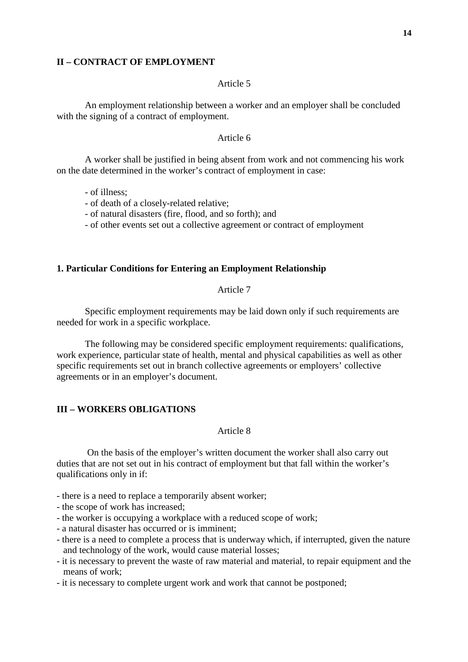### **II – CONTRACT OF EMPLOYMENT**

## Article 5

An employment relationship between a worker and an employer shall be concluded with the signing of a contract of employment.

### Article 6

A worker shall be justified in being absent from work and not commencing his work on the date determined in the worker's contract of employment in case:

- of illness;

- of death of a closely-related relative;

- of natural disasters (fire, flood, and so forth); and

- of other events set out a collective agreement or contract of employment

### **1. Particular Conditions for Entering an Employment Relationship**

## Article 7

Specific employment requirements may be laid down only if such requirements are needed for work in a specific workplace.

The following may be considered specific employment requirements: qualifications, work experience, particular state of health, mental and physical capabilities as well as other specific requirements set out in branch collective agreements or employers' collective agreements or in an employer's document.

# **III – WORKERS OBLIGATIONS**

### Article 8

 On the basis of the employer's written document the worker shall also carry out duties that are not set out in his contract of employment but that fall within the worker's qualifications only in if:

- there is a need to replace a temporarily absent worker;

- the scope of work has increased;
- the worker is occupying a workplace with a reduced scope of work;
- a natural disaster has occurred or is imminent;
- there is a need to complete a process that is underway which, if interrupted, given the nature and technology of the work, would cause material losses;
- it is necessary to prevent the waste of raw material and material, to repair equipment and the means of work;
- it is necessary to complete urgent work and work that cannot be postponed;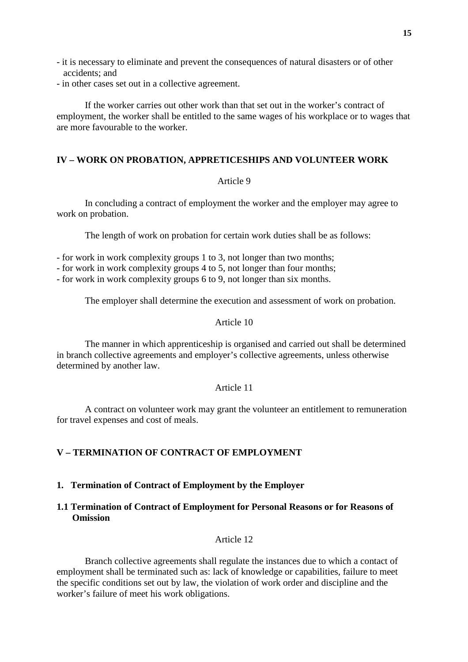- it is necessary to eliminate and prevent the consequences of natural disasters or of other accidents; and
- in other cases set out in a collective agreement.

If the worker carries out other work than that set out in the worker's contract of employment, the worker shall be entitled to the same wages of his workplace or to wages that are more favourable to the worker.

# **IV – WORK ON PROBATION, APPRETICESHIPS AND VOLUNTEER WORK**

## Article 9

In concluding a contract of employment the worker and the employer may agree to work on probation.

The length of work on probation for certain work duties shall be as follows:

- for work in work complexity groups 1 to 3, not longer than two months;

- for work in work complexity groups 4 to 5, not longer than four months;
- for work in work complexity groups 6 to 9, not longer than six months.

The employer shall determine the execution and assessment of work on probation.

### Article 10

The manner in which apprenticeship is organised and carried out shall be determined in branch collective agreements and employer's collective agreements, unless otherwise determined by another law.

### Article 11

A contract on volunteer work may grant the volunteer an entitlement to remuneration for travel expenses and cost of meals.

# **V – TERMINATION OF CONTRACT OF EMPLOYMENT**

### **1. Termination of Contract of Employment by the Employer**

# **1.1 Termination of Contract of Employment for Personal Reasons or for Reasons of Omission**

### Article 12

Branch collective agreements shall regulate the instances due to which a contact of employment shall be terminated such as: lack of knowledge or capabilities, failure to meet the specific conditions set out by law, the violation of work order and discipline and the worker's failure of meet his work obligations.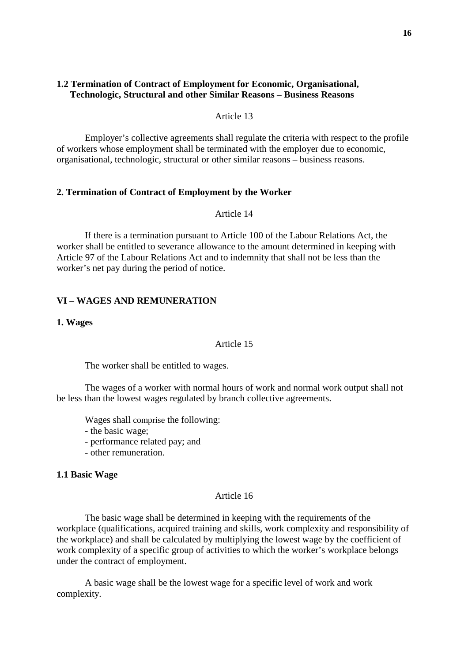## **1.2 Termination of Contract of Employment for Economic, Organisational, Technologic, Structural and other Similar Reasons – Business Reasons**

Article 13

Employer's collective agreements shall regulate the criteria with respect to the profile of workers whose employment shall be terminated with the employer due to economic, organisational, technologic, structural or other similar reasons – business reasons.

### **2. Termination of Contract of Employment by the Worker**

Article 14

If there is a termination pursuant to Article 100 of the Labour Relations Act, the worker shall be entitled to severance allowance to the amount determined in keeping with Article 97 of the Labour Relations Act and to indemnity that shall not be less than the worker's net pay during the period of notice.

## **VI – WAGES AND REMUNERATION**

### **1. Wages**

#### Article 15

The worker shall be entitled to wages.

The wages of a worker with normal hours of work and normal work output shall not be less than the lowest wages regulated by branch collective agreements.

Wages shall comprise the following:

- the basic wage;

- performance related pay; and
- other remuneration.

#### **1.1 Basic Wage**

#### Article 16

The basic wage shall be determined in keeping with the requirements of the workplace (qualifications, acquired training and skills, work complexity and responsibility of the workplace) and shall be calculated by multiplying the lowest wage by the coefficient of work complexity of a specific group of activities to which the worker's workplace belongs under the contract of employment.

A basic wage shall be the lowest wage for a specific level of work and work complexity.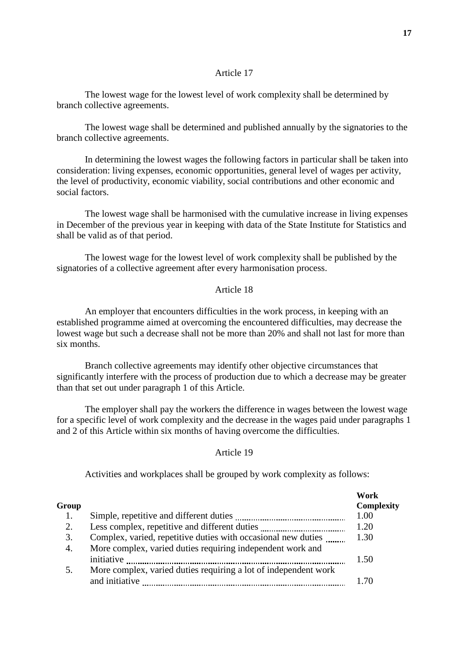The lowest wage for the lowest level of work complexity shall be determined by branch collective agreements.

The lowest wage shall be determined and published annually by the signatories to the branch collective agreements.

In determining the lowest wages the following factors in particular shall be taken into consideration: living expenses, economic opportunities, general level of wages per activity, the level of productivity, economic viability, social contributions and other economic and social factors.

The lowest wage shall be harmonised with the cumulative increase in living expenses in December of the previous year in keeping with data of the State Institute for Statistics and shall be valid as of that period.

The lowest wage for the lowest level of work complexity shall be published by the signatories of a collective agreement after every harmonisation process.

## Article 18

An employer that encounters difficulties in the work process, in keeping with an established programme aimed at overcoming the encountered difficulties, may decrease the lowest wage but such a decrease shall not be more than 20% and shall not last for more than six months.

Branch collective agreements may identify other objective circumstances that significantly interfere with the process of production due to which a decrease may be greater than that set out under paragraph 1 of this Article.

The employer shall pay the workers the difference in wages between the lowest wage for a specific level of work complexity and the decrease in the wages paid under paragraphs 1 and 2 of this Article within six months of having overcome the difficulties.

#### Article 19

Activities and workplaces shall be grouped by work complexity as follows:

|       |                                                                 | Work       |
|-------|-----------------------------------------------------------------|------------|
| Group |                                                                 | Complexity |
| 1.    |                                                                 | 1.00       |
| 2.    |                                                                 | 1.20       |
| 3.    | Complex, varied, repetitive duties with occasional new duties   | 1.30       |
| 4.    | More complex, varied duties requiring independent work and      |            |
|       | initiative                                                      | 1.50       |
| 5.    | More complex, varied duties requiring a lot of independent work |            |
|       | and initiative                                                  | 1 70       |
|       |                                                                 |            |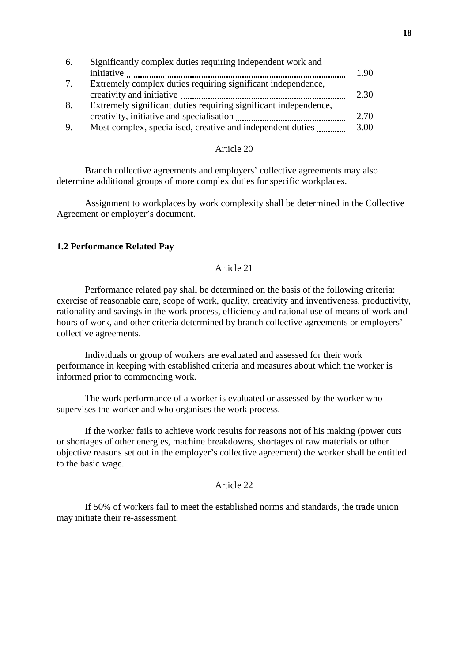| 6. | Significantly complex duties requiring independent work and      |      |
|----|------------------------------------------------------------------|------|
|    |                                                                  | 1.90 |
| 7. | Extremely complex duties requiring significant independence,     |      |
|    |                                                                  | 2.30 |
| 8. | Extremely significant duties requiring significant independence, |      |
|    |                                                                  | 2.70 |
| 9. | Most complex, specialised, creative and independent duties       | 3.00 |

Branch collective agreements and employers' collective agreements may also determine additional groups of more complex duties for specific workplaces.

Assignment to workplaces by work complexity shall be determined in the Collective Agreement or employer's document.

## **1.2 Performance Related Pay**

## Article 21

Performance related pay shall be determined on the basis of the following criteria: exercise of reasonable care, scope of work, quality, creativity and inventiveness, productivity, rationality and savings in the work process, efficiency and rational use of means of work and hours of work, and other criteria determined by branch collective agreements or employers' collective agreements.

Individuals or group of workers are evaluated and assessed for their work performance in keeping with established criteria and measures about which the worker is informed prior to commencing work.

The work performance of a worker is evaluated or assessed by the worker who supervises the worker and who organises the work process.

If the worker fails to achieve work results for reasons not of his making (power cuts or shortages of other energies, machine breakdowns, shortages of raw materials or other objective reasons set out in the employer's collective agreement) the worker shall be entitled to the basic wage.

#### Article 22

If 50% of workers fail to meet the established norms and standards, the trade union may initiate their re-assessment.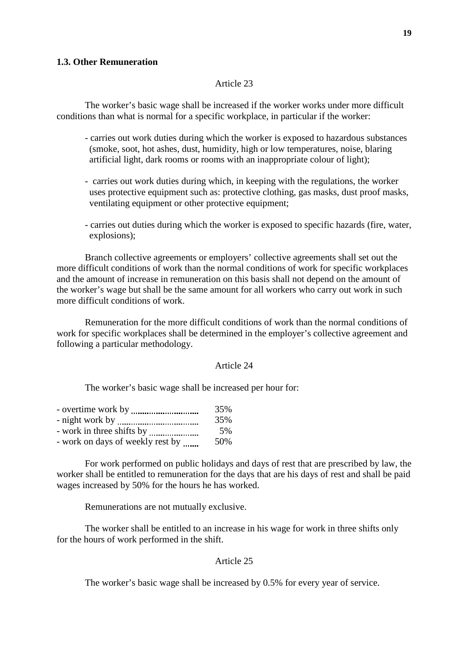### **1.3. Other Remuneration**

### Article 23

The worker's basic wage shall be increased if the worker works under more difficult conditions than what is normal for a specific workplace, in particular if the worker:

- carries out work duties during which the worker is exposed to hazardous substances (smoke, soot, hot ashes, dust, humidity, high or low temperatures, noise, blaring artificial light, dark rooms or rooms with an inappropriate colour of light);
- carries out work duties during which, in keeping with the regulations, the worker uses protective equipment such as: protective clothing, gas masks, dust proof masks, ventilating equipment or other protective equipment;
- carries out duties during which the worker is exposed to specific hazards (fire, water, explosions);

Branch collective agreements or employers' collective agreements shall set out the more difficult conditions of work than the normal conditions of work for specific workplaces and the amount of increase in remuneration on this basis shall not depend on the amount of the worker's wage but shall be the same amount for all workers who carry out work in such more difficult conditions of work.

Remuneration for the more difficult conditions of work than the normal conditions of work for specific workplaces shall be determined in the employer's collective agreement and following a particular methodology.

#### Article 24

The worker's basic wage shall be increased per hour for:

|                                  | 35%  |
|----------------------------------|------|
|                                  | 35%  |
|                                  | 5%   |
| - work on days of weekly rest by | .50% |

For work performed on public holidays and days of rest that are prescribed by law, the worker shall be entitled to remuneration for the days that are his days of rest and shall be paid wages increased by 50% for the hours he has worked.

Remunerations are not mutually exclusive.

The worker shall be entitled to an increase in his wage for work in three shifts only for the hours of work performed in the shift.

#### Article 25

The worker's basic wage shall be increased by 0.5% for every year of service.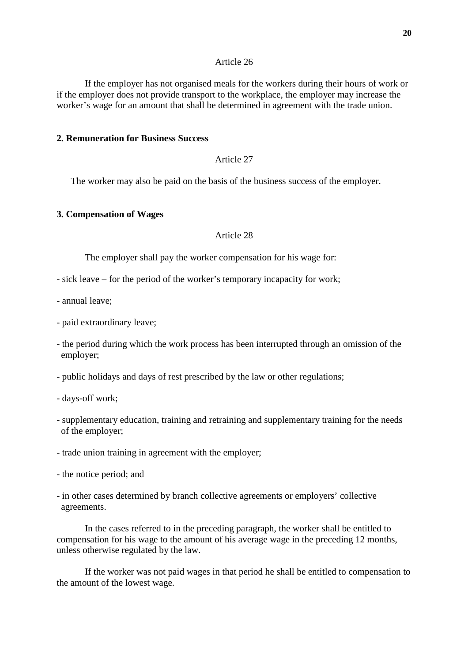If the employer has not organised meals for the workers during their hours of work or if the employer does not provide transport to the workplace, the employer may increase the worker's wage for an amount that shall be determined in agreement with the trade union.

## **2. Remuneration for Business Success**

# Article 27

The worker may also be paid on the basis of the business success of the employer.

### **3. Compensation of Wages**

### Article 28

The employer shall pay the worker compensation for his wage for:

- sick leave for the period of the worker's temporary incapacity for work;
- annual leave;
- paid extraordinary leave;
- the period during which the work process has been interrupted through an omission of the employer;
- public holidays and days of rest prescribed by the law or other regulations;
- days-off work;
- supplementary education, training and retraining and supplementary training for the needs of the employer;
- trade union training in agreement with the employer;
- the notice period; and
- in other cases determined by branch collective agreements or employers' collective agreements.

In the cases referred to in the preceding paragraph, the worker shall be entitled to compensation for his wage to the amount of his average wage in the preceding 12 months, unless otherwise regulated by the law.

If the worker was not paid wages in that period he shall be entitled to compensation to the amount of the lowest wage.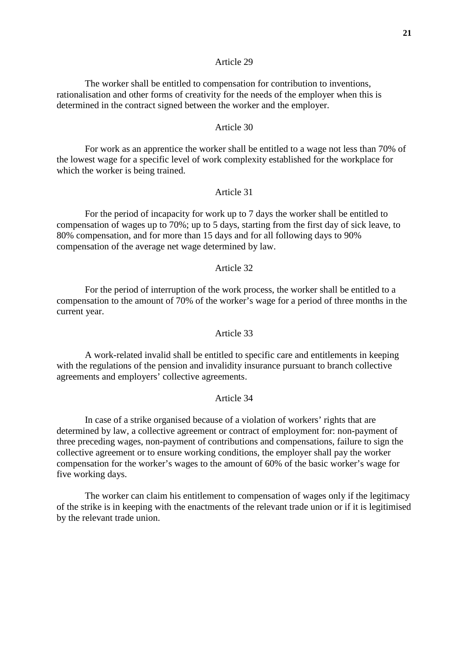The worker shall be entitled to compensation for contribution to inventions, rationalisation and other forms of creativity for the needs of the employer when this is determined in the contract signed between the worker and the employer.

## Article 30

For work as an apprentice the worker shall be entitled to a wage not less than 70% of the lowest wage for a specific level of work complexity established for the workplace for which the worker is being trained.

#### Article 31

For the period of incapacity for work up to 7 days the worker shall be entitled to compensation of wages up to 70%; up to 5 days, starting from the first day of sick leave, to 80% compensation, and for more than 15 days and for all following days to 90% compensation of the average net wage determined by law.

### Article 32

For the period of interruption of the work process, the worker shall be entitled to a compensation to the amount of 70% of the worker's wage for a period of three months in the current year.

#### Article 33

A work-related invalid shall be entitled to specific care and entitlements in keeping with the regulations of the pension and invalidity insurance pursuant to branch collective agreements and employers' collective agreements.

#### Article 34

In case of a strike organised because of a violation of workers' rights that are determined by law, a collective agreement or contract of employment for: non-payment of three preceding wages, non-payment of contributions and compensations, failure to sign the collective agreement or to ensure working conditions, the employer shall pay the worker compensation for the worker's wages to the amount of 60% of the basic worker's wage for five working days.

The worker can claim his entitlement to compensation of wages only if the legitimacy of the strike is in keeping with the enactments of the relevant trade union or if it is legitimised by the relevant trade union.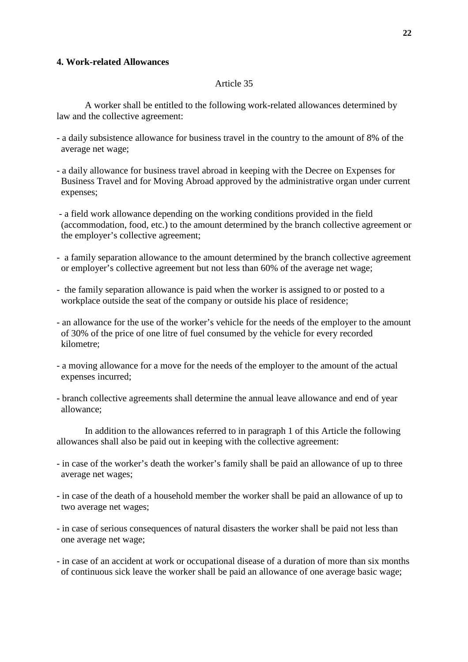## **4. Work-related Allowances**

## Article 35

A worker shall be entitled to the following work-related allowances determined by law and the collective agreement:

- a daily subsistence allowance for business travel in the country to the amount of 8% of the average net wage;
- a daily allowance for business travel abroad in keeping with the Decree on Expenses for Business Travel and for Moving Abroad approved by the administrative organ under current expenses;
- a field work allowance depending on the working conditions provided in the field (accommodation, food, etc.) to the amount determined by the branch collective agreement or the employer's collective agreement;
- a family separation allowance to the amount determined by the branch collective agreement or employer's collective agreement but not less than 60% of the average net wage;
- the family separation allowance is paid when the worker is assigned to or posted to a workplace outside the seat of the company or outside his place of residence;
- an allowance for the use of the worker's vehicle for the needs of the employer to the amount of 30% of the price of one litre of fuel consumed by the vehicle for every recorded kilometre;
- a moving allowance for a move for the needs of the employer to the amount of the actual expenses incurred;
- branch collective agreements shall determine the annual leave allowance and end of year allowance;

In addition to the allowances referred to in paragraph 1 of this Article the following allowances shall also be paid out in keeping with the collective agreement:

- in case of the worker's death the worker's family shall be paid an allowance of up to three average net wages;
- in case of the death of a household member the worker shall be paid an allowance of up to two average net wages;
- in case of serious consequences of natural disasters the worker shall be paid not less than one average net wage;
- in case of an accident at work or occupational disease of a duration of more than six months of continuous sick leave the worker shall be paid an allowance of one average basic wage;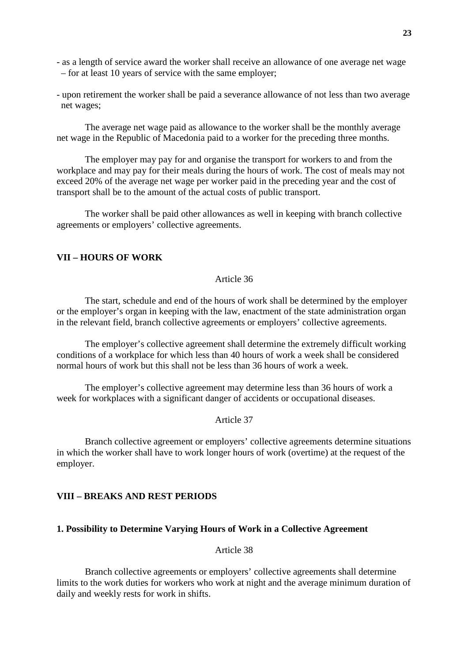- as a length of service award the worker shall receive an allowance of one average net wage – for at least 10 years of service with the same employer;
- upon retirement the worker shall be paid a severance allowance of not less than two average net wages;

The average net wage paid as allowance to the worker shall be the monthly average net wage in the Republic of Macedonia paid to a worker for the preceding three months.

The employer may pay for and organise the transport for workers to and from the workplace and may pay for their meals during the hours of work. The cost of meals may not exceed 20% of the average net wage per worker paid in the preceding year and the cost of transport shall be to the amount of the actual costs of public transport.

The worker shall be paid other allowances as well in keeping with branch collective agreements or employers' collective agreements.

# **VII – HOURS OF WORK**

# Article 36

The start, schedule and end of the hours of work shall be determined by the employer or the employer's organ in keeping with the law, enactment of the state administration organ in the relevant field, branch collective agreements or employers' collective agreements.

The employer's collective agreement shall determine the extremely difficult working conditions of a workplace for which less than 40 hours of work a week shall be considered normal hours of work but this shall not be less than 36 hours of work a week.

The employer's collective agreement may determine less than 36 hours of work a week for workplaces with a significant danger of accidents or occupational diseases.

### Article 37

Branch collective agreement or employers' collective agreements determine situations in which the worker shall have to work longer hours of work (overtime) at the request of the employer.

# **VIII – BREAKS AND REST PERIODS**

## **1. Possibility to Determine Varying Hours of Work in a Collective Agreement**

Article 38

Branch collective agreements or employers' collective agreements shall determine limits to the work duties for workers who work at night and the average minimum duration of daily and weekly rests for work in shifts.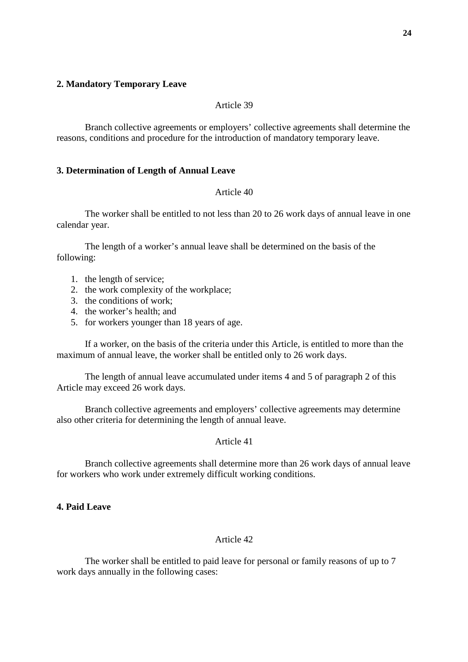### **2. Mandatory Temporary Leave**

### Article 39

Branch collective agreements or employers' collective agreements shall determine the reasons, conditions and procedure for the introduction of mandatory temporary leave.

## **3. Determination of Length of Annual Leave**

#### Article 40

The worker shall be entitled to not less than 20 to 26 work days of annual leave in one calendar year.

The length of a worker's annual leave shall be determined on the basis of the following:

- 1. the length of service;
- 2. the work complexity of the workplace;
- 3. the conditions of work;
- 4. the worker's health; and
- 5. for workers younger than 18 years of age.

If a worker, on the basis of the criteria under this Article, is entitled to more than the maximum of annual leave, the worker shall be entitled only to 26 work days.

The length of annual leave accumulated under items 4 and 5 of paragraph 2 of this Article may exceed 26 work days.

Branch collective agreements and employers' collective agreements may determine also other criteria for determining the length of annual leave.

### Article 41

Branch collective agreements shall determine more than 26 work days of annual leave for workers who work under extremely difficult working conditions.

# **4. Paid Leave**

## Article 42

The worker shall be entitled to paid leave for personal or family reasons of up to 7 work days annually in the following cases: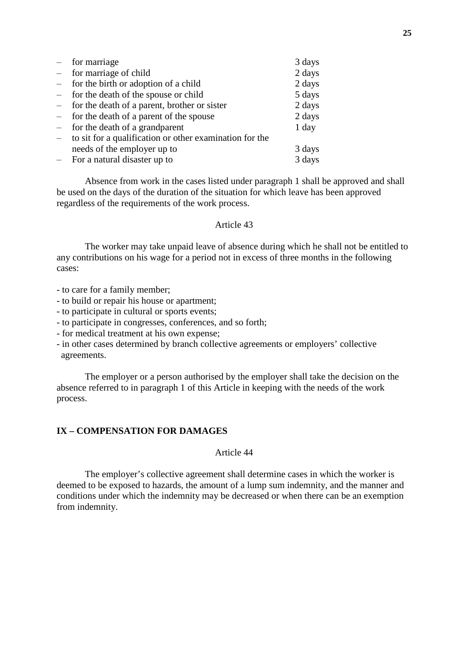| $-$                      | for marriage                                            | 3 days |
|--------------------------|---------------------------------------------------------|--------|
|                          | $-$ for marriage of child                               | 2 days |
| $ \,$                    | for the birth or adoption of a child                    | 2 days |
|                          | - for the death of the spouse or child                  | 5 days |
|                          | - for the death of a parent, brother or sister          | 2 days |
|                          | - for the death of a parent of the spouse               | 2 days |
| $\equiv$                 | for the death of a grandparent                          | 1 day  |
| $\overline{\phantom{0}}$ | to sit for a qualification or other examination for the |        |
|                          | needs of the employer up to                             | 3 days |
|                          | $-$ For a natural disaster up to                        | 3 days |

Absence from work in the cases listed under paragraph 1 shall be approved and shall be used on the days of the duration of the situation for which leave has been approved regardless of the requirements of the work process.

### Article 43

The worker may take unpaid leave of absence during which he shall not be entitled to any contributions on his wage for a period not in excess of three months in the following cases:

- to care for a family member;
- to build or repair his house or apartment;
- to participate in cultural or sports events;
- to participate in congresses, conferences, and so forth;
- for medical treatment at his own expense;
- in other cases determined by branch collective agreements or employers' collective agreements.

The employer or a person authorised by the employer shall take the decision on the absence referred to in paragraph 1 of this Article in keeping with the needs of the work process.

#### **IX – COMPENSATION FOR DAMAGES**

Article 44

The employer's collective agreement shall determine cases in which the worker is deemed to be exposed to hazards, the amount of a lump sum indemnity, and the manner and conditions under which the indemnity may be decreased or when there can be an exemption from indemnity.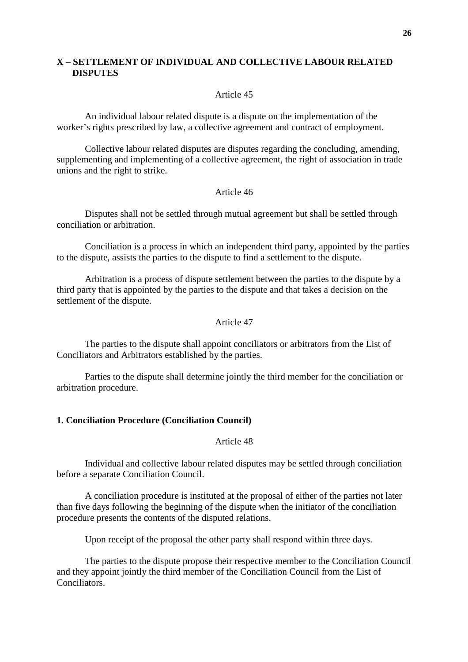# **X – SETTLEMENT OF INDIVIDUAL AND COLLECTIVE LABOUR RELATED DISPUTES**

#### Article 45

An individual labour related dispute is a dispute on the implementation of the worker's rights prescribed by law, a collective agreement and contract of employment.

Collective labour related disputes are disputes regarding the concluding, amending, supplementing and implementing of a collective agreement, the right of association in trade unions and the right to strike.

#### Article 46

Disputes shall not be settled through mutual agreement but shall be settled through conciliation or arbitration.

Conciliation is a process in which an independent third party, appointed by the parties to the dispute, assists the parties to the dispute to find a settlement to the dispute.

Arbitration is a process of dispute settlement between the parties to the dispute by a third party that is appointed by the parties to the dispute and that takes a decision on the settlement of the dispute.

## Article 47

The parties to the dispute shall appoint conciliators or arbitrators from the List of Conciliators and Arbitrators established by the parties.

Parties to the dispute shall determine jointly the third member for the conciliation or arbitration procedure.

### **1. Conciliation Procedure (Conciliation Council)**

Article 48

Individual and collective labour related disputes may be settled through conciliation before a separate Conciliation Council.

A conciliation procedure is instituted at the proposal of either of the parties not later than five days following the beginning of the dispute when the initiator of the conciliation procedure presents the contents of the disputed relations.

Upon receipt of the proposal the other party shall respond within three days.

The parties to the dispute propose their respective member to the Conciliation Council and they appoint jointly the third member of the Conciliation Council from the List of Conciliators.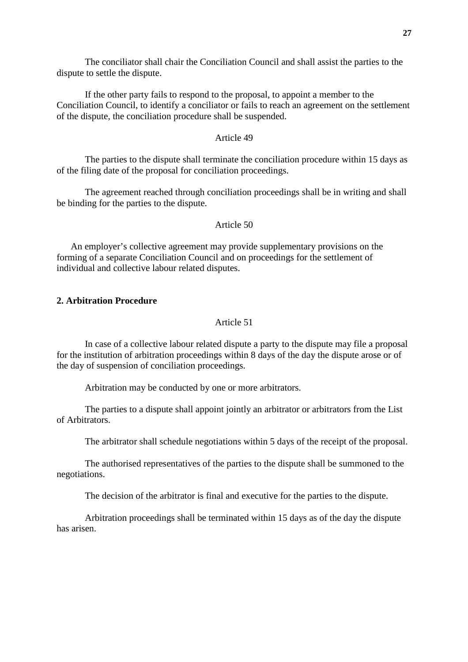**27**

The conciliator shall chair the Conciliation Council and shall assist the parties to the dispute to settle the dispute.

If the other party fails to respond to the proposal, to appoint a member to the Conciliation Council, to identify a conciliator or fails to reach an agreement on the settlement of the dispute, the conciliation procedure shall be suspended.

# Article 49

The parties to the dispute shall terminate the conciliation procedure within 15 days as of the filing date of the proposal for conciliation proceedings.

The agreement reached through conciliation proceedings shall be in writing and shall be binding for the parties to the dispute.

# Article 50

An employer's collective agreement may provide supplementary provisions on the forming of a separate Conciliation Council and on proceedings for the settlement of individual and collective labour related disputes.

# **2. Arbitration Procedure**

# Article 51

In case of a collective labour related dispute a party to the dispute may file a proposal for the institution of arbitration proceedings within 8 days of the day the dispute arose or of the day of suspension of conciliation proceedings.

Arbitration may be conducted by one or more arbitrators.

The parties to a dispute shall appoint jointly an arbitrator or arbitrators from the List of Arbitrators.

The arbitrator shall schedule negotiations within 5 days of the receipt of the proposal.

The authorised representatives of the parties to the dispute shall be summoned to the negotiations.

The decision of the arbitrator is final and executive for the parties to the dispute.

Arbitration proceedings shall be terminated within 15 days as of the day the dispute has arisen.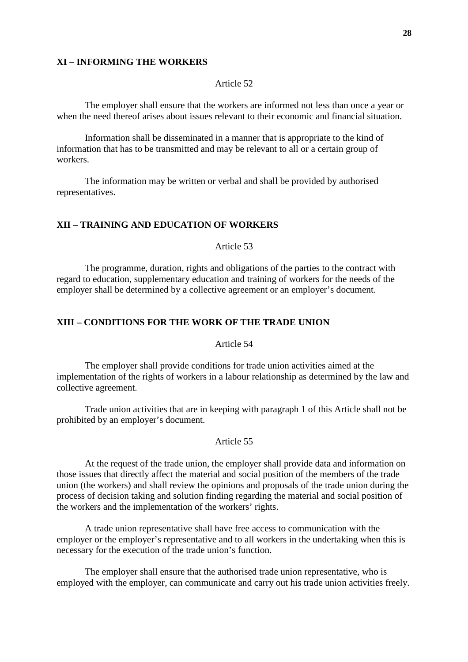#### **XI – INFORMING THE WORKERS**

## Article 52

The employer shall ensure that the workers are informed not less than once a year or when the need thereof arises about issues relevant to their economic and financial situation.

Information shall be disseminated in a manner that is appropriate to the kind of information that has to be transmitted and may be relevant to all or a certain group of workers.

The information may be written or verbal and shall be provided by authorised representatives.

## **XII – TRAINING AND EDUCATION OF WORKERS**

Article 53

The programme, duration, rights and obligations of the parties to the contract with regard to education, supplementary education and training of workers for the needs of the employer shall be determined by a collective agreement or an employer's document.

# **XIII – CONDITIONS FOR THE WORK OF THE TRADE UNION**

Article 54

The employer shall provide conditions for trade union activities aimed at the implementation of the rights of workers in a labour relationship as determined by the law and collective agreement.

Trade union activities that are in keeping with paragraph 1 of this Article shall not be prohibited by an employer's document.

### Article 55

At the request of the trade union, the employer shall provide data and information on those issues that directly affect the material and social position of the members of the trade union (the workers) and shall review the opinions and proposals of the trade union during the process of decision taking and solution finding regarding the material and social position of the workers and the implementation of the workers' rights.

A trade union representative shall have free access to communication with the employer or the employer's representative and to all workers in the undertaking when this is necessary for the execution of the trade union's function.

The employer shall ensure that the authorised trade union representative, who is employed with the employer, can communicate and carry out his trade union activities freely.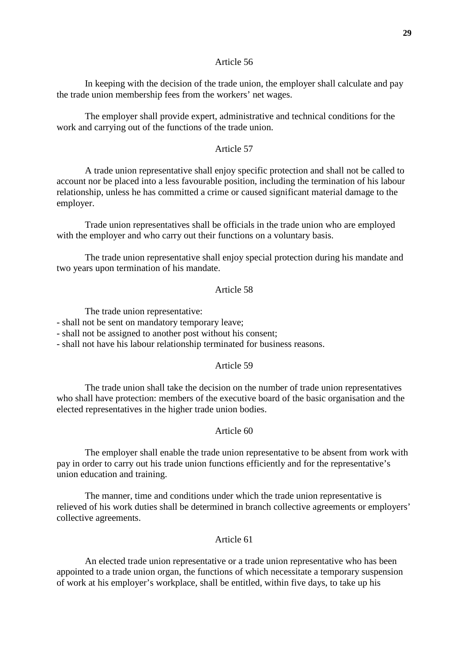In keeping with the decision of the trade union, the employer shall calculate and pay the trade union membership fees from the workers' net wages.

The employer shall provide expert, administrative and technical conditions for the work and carrying out of the functions of the trade union.

### Article 57

A trade union representative shall enjoy specific protection and shall not be called to account nor be placed into a less favourable position, including the termination of his labour relationship, unless he has committed a crime or caused significant material damage to the employer.

Trade union representatives shall be officials in the trade union who are employed with the employer and who carry out their functions on a voluntary basis.

The trade union representative shall enjoy special protection during his mandate and two years upon termination of his mandate.

## Article 58

The trade union representative:

- shall not be sent on mandatory temporary leave;

- shall not be assigned to another post without his consent;

- shall not have his labour relationship terminated for business reasons.

#### Article 59

The trade union shall take the decision on the number of trade union representatives who shall have protection: members of the executive board of the basic organisation and the elected representatives in the higher trade union bodies.

#### Article 60

The employer shall enable the trade union representative to be absent from work with pay in order to carry out his trade union functions efficiently and for the representative's union education and training.

The manner, time and conditions under which the trade union representative is relieved of his work duties shall be determined in branch collective agreements or employers' collective agreements.

## Article 61

An elected trade union representative or a trade union representative who has been appointed to a trade union organ, the functions of which necessitate a temporary suspension of work at his employer's workplace, shall be entitled, within five days, to take up his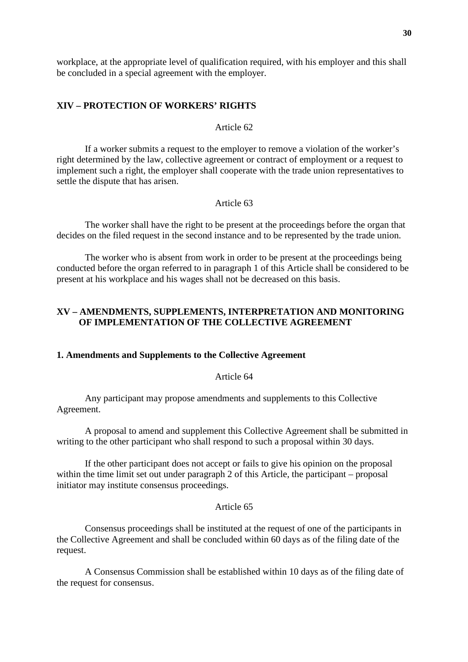workplace, at the appropriate level of qualification required, with his employer and this shall be concluded in a special agreement with the employer.

# **XIV – PROTECTION OF WORKERS' RIGHTS**

# Article 62

If a worker submits a request to the employer to remove a violation of the worker's right determined by the law, collective agreement or contract of employment or a request to implement such a right, the employer shall cooperate with the trade union representatives to settle the dispute that has arisen.

# Article 63

The worker shall have the right to be present at the proceedings before the organ that decides on the filed request in the second instance and to be represented by the trade union.

The worker who is absent from work in order to be present at the proceedings being conducted before the organ referred to in paragraph 1 of this Article shall be considered to be present at his workplace and his wages shall not be decreased on this basis.

## **XV – AMENDMENTS, SUPPLEMENTS, INTERPRETATION AND MONITORING OF IMPLEMENTATION OF THE COLLECTIVE AGREEMENT**

#### **1. Amendments and Supplements to the Collective Agreement**

Article 64

Any participant may propose amendments and supplements to this Collective Agreement.

A proposal to amend and supplement this Collective Agreement shall be submitted in writing to the other participant who shall respond to such a proposal within 30 days.

If the other participant does not accept or fails to give his opinion on the proposal within the time limit set out under paragraph 2 of this Article, the participant – proposal initiator may institute consensus proceedings.

#### Article 65

Consensus proceedings shall be instituted at the request of one of the participants in the Collective Agreement and shall be concluded within 60 days as of the filing date of the request.

A Consensus Commission shall be established within 10 days as of the filing date of the request for consensus.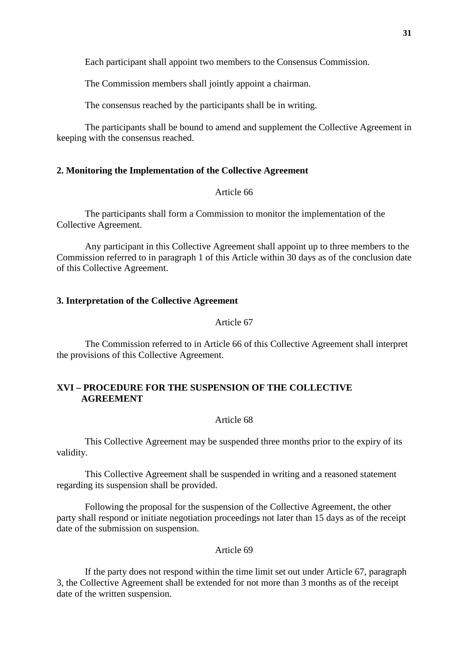Each participant shall appoint two members to the Consensus Commission.

The Commission members shall jointly appoint a chairman.

The consensus reached by the participants shall be in writing.

The participants shall be bound to amend and supplement the Collective Agreement in keeping with the consensus reached.

### **2. Monitoring the Implementation of the Collective Agreement**

### Article 66

The participants shall form a Commission to monitor the implementation of the Collective Agreement.

Any participant in this Collective Agreement shall appoint up to three members to the Commission referred to in paragraph 1 of this Article within 30 days as of the conclusion date of this Collective Agreement.

#### **3. Interpretation of the Collective Agreement**

## Article 67

The Commission referred to in Article 66 of this Collective Agreement shall interpret the provisions of this Collective Agreement.

# **XVI – PROCEDURE FOR THE SUSPENSION OF THE COLLECTIVE AGREEMENT**

# Article 68

This Collective Agreement may be suspended three months prior to the expiry of its validity.

This Collective Agreement shall be suspended in writing and a reasoned statement regarding its suspension shall be provided.

Following the proposal for the suspension of the Collective Agreement, the other party shall respond or initiate negotiation proceedings not later than 15 days as of the receipt date of the submission on suspension.

### Article 69

If the party does not respond within the time limit set out under Article 67, paragraph 3, the Collective Agreement shall be extended for not more than 3 months as of the receipt date of the written suspension.